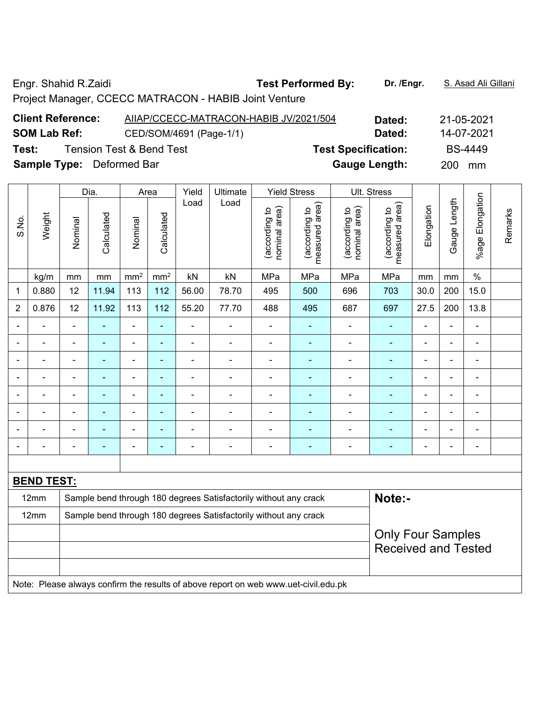Engr. Shahid R.Zaidi **Test Performed By:** Dr. /Engr. **S. Asad Ali Gillani** Company Company Company Company Company

Project Manager, CCECC MATRACON - HABIB Joint Venture

| <b>Client Reference:</b>         | AIIAP/CCECC-MATRACON-HABIB JV/2021/504 | Dated:                     | 21-05-2021     |
|----------------------------------|----------------------------------------|----------------------------|----------------|
| <b>SOM Lab Ref:</b>              | CED/SOM/4691 (Page-1/1)                | Dated:                     | 14-07-2021     |
| Test:                            | <b>Tension Test &amp; Bend Test</b>    | <b>Test Specification:</b> | <b>BS-4449</b> |
| <b>Sample Type:</b> Deformed Bar |                                        | <b>Gauge Length:</b>       | 200<br>mm      |

|                          |                   |                | Dia.       |                              | Area            | Yield          | Ultimate                                                         |                                | <b>Yield Stress</b>             |                                | Ult. Stress                     |                |                |                              |         |
|--------------------------|-------------------|----------------|------------|------------------------------|-----------------|----------------|------------------------------------------------------------------|--------------------------------|---------------------------------|--------------------------------|---------------------------------|----------------|----------------|------------------------------|---------|
| S.No.                    | Weight            | Nominal        | Calculated | Nominal                      | Calculated      | Load           | Load                                                             | nominal area)<br>(according to | measured area)<br>(according to | nominal area)<br>(according to | measured area)<br>(according to | Elongation     | Gauge Length   | Elongation<br>%age I         | Remarks |
|                          | kg/m              | mm             | mm         | mm <sup>2</sup>              | mm <sup>2</sup> | kN             | kN                                                               | MPa                            | MPa                             | MPa                            | MPa                             | mm             | mm             | $\frac{0}{0}$                |         |
| 1                        | 0.880             | 12             | 11.94      | 113                          | 112             | 56.00          | 78.70                                                            | 495                            | 500                             | 696                            | 703                             | 30.0           | 200            | 15.0                         |         |
| $\overline{2}$           | 0.876             | 12             | 11.92      | 113                          | 112             | 55.20          | 77.70                                                            | 488                            | 495                             | 687                            | 697                             | 27.5           | 200            | 13.8                         |         |
|                          |                   | $\blacksquare$ |            | $\blacksquare$               | ÷               |                | $\blacksquare$                                                   |                                |                                 |                                | $\blacksquare$                  |                | ä,             | $\blacksquare$               |         |
|                          |                   |                |            | ÷                            | ÷               | -              | $\blacksquare$                                                   |                                | ۰                               |                                | ۰                               |                | $\blacksquare$ | ۰                            |         |
| $\overline{\phantom{0}}$ | ÷                 | $\blacksquare$ | ÷          | $\qquad \qquad \blacksquare$ | ٠               | $\overline{a}$ | $\overline{\phantom{a}}$                                         | $\blacksquare$                 | $\blacksquare$                  |                                | $\blacksquare$                  | $\blacksquare$ | ä,             | $\qquad \qquad \blacksquare$ |         |
|                          |                   |                |            | $\overline{a}$               | ۰               |                |                                                                  |                                |                                 |                                |                                 |                | $\blacksquare$ | ۰                            |         |
|                          |                   | $\blacksquare$ |            | ÷                            | ÷               |                | $\blacksquare$                                                   |                                | ۰                               |                                | $\overline{\phantom{0}}$        |                | -              | $\overline{\phantom{a}}$     |         |
|                          |                   |                |            | ۰                            | ÷               |                | $\blacksquare$                                                   |                                |                                 |                                | ۰                               | $\blacksquare$ | $\blacksquare$ | ۰                            |         |
|                          |                   |                |            | ۰                            | ÷               | -              | Ē,                                                               |                                |                                 |                                |                                 |                | $\blacksquare$ | ۰                            |         |
| $\overline{\phantom{0}}$ |                   |                |            | ÷                            | ÷               |                | $\blacksquare$                                                   | $\blacksquare$                 | ÷                               |                                | $\blacksquare$                  | $\blacksquare$ |                | $\overline{\phantom{a}}$     |         |
|                          |                   |                |            |                              |                 |                |                                                                  |                                |                                 |                                |                                 |                |                |                              |         |
|                          | <b>BEND TEST:</b> |                |            |                              |                 |                |                                                                  |                                |                                 |                                |                                 |                |                |                              |         |
|                          | 12mm              |                |            |                              |                 |                | Sample bend through 180 degrees Satisfactorily without any crack |                                |                                 |                                | Note:-                          |                |                |                              |         |
|                          | 12mm              |                |            |                              |                 |                | Sample bend through 180 degrees Satisfactorily without any crack |                                |                                 |                                |                                 |                |                |                              |         |
|                          |                   |                |            |                              |                 |                |                                                                  |                                |                                 |                                | <b>Only Four Samples</b>        |                |                |                              |         |
|                          |                   |                |            |                              |                 |                |                                                                  |                                |                                 |                                | <b>Received and Tested</b>      |                |                |                              |         |
|                          |                   |                |            |                              |                 |                |                                                                  |                                |                                 |                                |                                 |                |                |                              |         |

Note: Please always confirm the results of above report on web www.uet-civil.edu.pk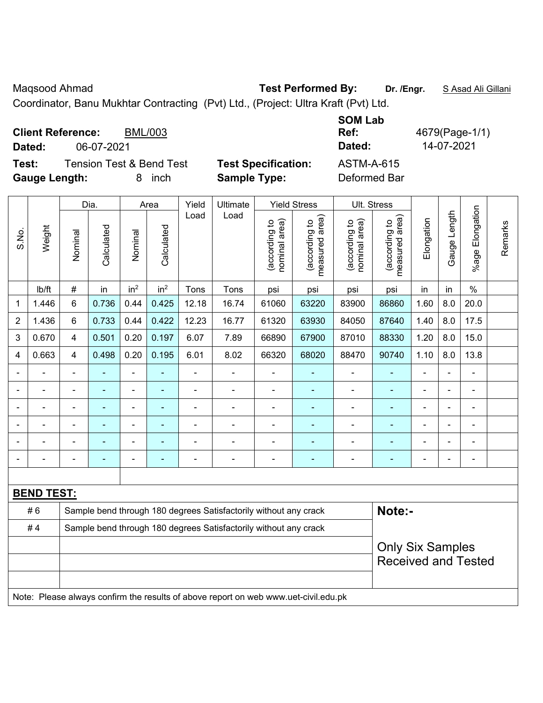Maqsood Ahmad **Test Performed By: Dr. /Engr.** S Asad Ali Gillani

Coordinator, Banu Mukhtar Contracting (Pvt) Ltd., (Project: Ultra Kraft (Pvt) Ltd.

| <b>Client Reference:</b><br><b>BML/003</b><br>06-07-2021<br>Dated:                |                                                   | <b>SOM Lab</b><br>Ref:<br>Dated:  | 4679(Page-1/1)<br>14-07-2021 |
|-----------------------------------------------------------------------------------|---------------------------------------------------|-----------------------------------|------------------------------|
| <b>Tension Test &amp; Bend Test</b><br>Test:<br><b>Gauge Length:</b><br>inch<br>8 | <b>Test Specification:</b><br><b>Sample Type:</b> | <b>ASTM-A-615</b><br>Deformed Bar |                              |

|                |                   |                | Dia.           |                 | Area                     | Yield          | Ultimate                                                                            |                                | <b>Yield Stress</b>                         |                                | Ult. Stress                                 |                |                          |                       |         |
|----------------|-------------------|----------------|----------------|-----------------|--------------------------|----------------|-------------------------------------------------------------------------------------|--------------------------------|---------------------------------------------|--------------------------------|---------------------------------------------|----------------|--------------------------|-----------------------|---------|
| S.No.          | Weight            | Nominal        | Calculated     | Nominal         | Calculated               | Load           | Load                                                                                | nominal area)<br>(according to | (according to<br>measured area)<br>measured | nominal area)<br>(according to | (according to<br>measured area)<br>measured | Elongation     | Gauge Length             | Elongation<br>$%$ age | Remarks |
|                | lb/ft             | #              | in             | in <sup>2</sup> | in <sup>2</sup>          | Tons           | Tons                                                                                | psi                            | psi                                         | psi                            | psi                                         | in             | in                       | $\%$                  |         |
| 1              | 1.446             | 6              | 0.736          | 0.44            | 0.425                    | 12.18          | 16.74                                                                               | 61060                          | 63220                                       | 83900                          | 86860                                       | 1.60           | 8.0                      | 20.0                  |         |
| $\overline{2}$ | 1.436             | 6              | 0.733          | 0.44            | 0.422                    | 12.23          | 16.77                                                                               | 61320                          | 63930                                       | 84050                          | 87640                                       | 1.40           | 8.0                      | 17.5                  |         |
| 3              | 0.670             | 4              | 0.501          | 0.20            | 0.197                    | 6.07           | 7.89                                                                                | 66890                          | 67900                                       | 87010                          | 88330                                       | 1.20           | 8.0                      | 15.0                  |         |
| 4              | 0.663             | 4              | 0.498          | 0.20            | 0.195                    | 6.01           | 8.02                                                                                | 66320                          | 68020                                       | 88470                          | 90740                                       | 1.10           | 8.0                      | 13.8                  |         |
|                |                   | $\blacksquare$ | $\blacksquare$ | $\blacksquare$  |                          | ÷,             | $\blacksquare$                                                                      | Ē,                             | $\blacksquare$                              | $\blacksquare$                 | $\blacksquare$                              | $\overline{a}$ | $\blacksquare$           | ä,                    |         |
|                |                   | ä,             |                | $\blacksquare$  |                          | $\blacksquare$ | $\blacksquare$                                                                      |                                | ä,                                          | $\blacksquare$                 | $\blacksquare$                              |                |                          | $\blacksquare$        |         |
|                |                   |                | $\blacksquare$ | $\blacksquare$  |                          | $\blacksquare$ | $\blacksquare$                                                                      |                                | $\blacksquare$                              | $\blacksquare$                 | $\blacksquare$                              | $\blacksquare$ |                          | $\blacksquare$        |         |
| $\blacksquare$ |                   | $\blacksquare$ |                | $\blacksquare$  |                          | ä,             | $\blacksquare$                                                                      | $\blacksquare$                 | ٠                                           | $\blacksquare$                 | $\blacksquare$                              |                |                          | $\blacksquare$        |         |
|                |                   |                |                | $\blacksquare$  |                          |                | $\blacksquare$                                                                      |                                | Ē.                                          | $\overline{\phantom{0}}$       |                                             |                | $\overline{\phantom{0}}$ |                       |         |
| $\blacksquare$ |                   | $\blacksquare$ | $\blacksquare$ | $\blacksquare$  | $\overline{\phantom{a}}$ | -              | $\blacksquare$                                                                      | $\blacksquare$                 | $\overline{\phantom{a}}$                    | $\blacksquare$                 | $\blacksquare$                              | $\blacksquare$ | $\blacksquare$           | $\blacksquare$        |         |
|                |                   |                |                |                 |                          |                |                                                                                     |                                |                                             |                                |                                             |                |                          |                       |         |
|                | <b>BEND TEST:</b> |                |                |                 |                          |                |                                                                                     |                                |                                             |                                |                                             |                |                          |                       |         |
|                | #6                |                |                |                 |                          |                | Sample bend through 180 degrees Satisfactorily without any crack                    |                                |                                             |                                | Note:-                                      |                |                          |                       |         |
|                | #4                |                |                |                 |                          |                | Sample bend through 180 degrees Satisfactorily without any crack                    |                                |                                             |                                |                                             |                |                          |                       |         |
|                |                   |                |                |                 |                          |                |                                                                                     |                                |                                             |                                | <b>Only Six Samples</b>                     |                |                          |                       |         |
|                |                   |                |                |                 |                          |                |                                                                                     |                                |                                             |                                | <b>Received and Tested</b>                  |                |                          |                       |         |
|                |                   |                |                |                 |                          |                |                                                                                     |                                |                                             |                                |                                             |                |                          |                       |         |
|                |                   |                |                |                 |                          |                | Note: Please always confirm the results of above report on web www.uet-civil.edu.pk |                                |                                             |                                |                                             |                |                          |                       |         |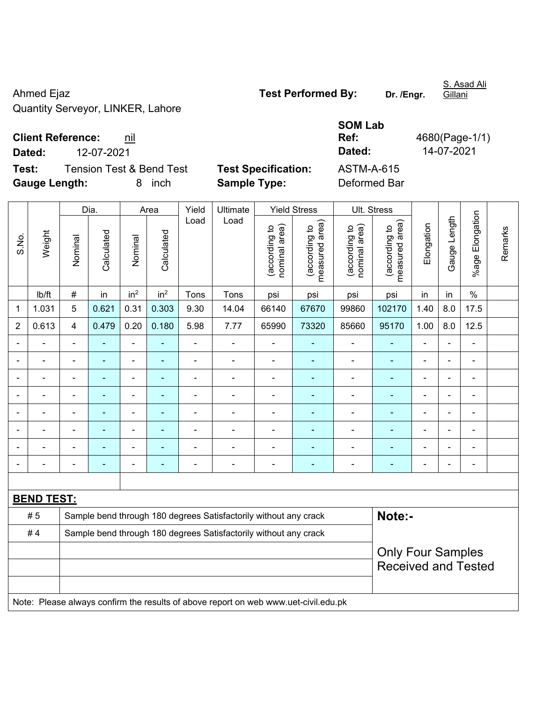Ahmed Ejaz **Test Performed By:** Dr. /Engr. Quantity Serveyor, LINKER, Lahore

Gillani

S. Asad Ali

**Test:** Tension Test & Bend Test **Test Specification: Gauge Length:** 8 inch **Sample Type:** Deformed Bar

|        |                                 |                            | <b>SOM Lab</b> |                |
|--------|---------------------------------|----------------------------|----------------|----------------|
|        | <b>Client Reference:</b><br>nıl |                            | Ref:           | 4680(Page-1/1) |
| Dated: | 12-07-2021                      |                            | Dated:         | 14-07-2021     |
| Test:  | Tension Test & Bend Test        | <b>Test Specification:</b> | ASTM-A-615     |                |

|                |                   |                | Dia.           |                          | Area            | Yield          | Ultimate                                                                            |                                | <b>Yield Stress</b>             |                                | Ult. Stress                                            |                          |                          |                      |         |
|----------------|-------------------|----------------|----------------|--------------------------|-----------------|----------------|-------------------------------------------------------------------------------------|--------------------------------|---------------------------------|--------------------------------|--------------------------------------------------------|--------------------------|--------------------------|----------------------|---------|
| S.No.          | Weight            | Nominal        | Calculated     | Nominal                  | Calculated      | Load           | Load                                                                                | nominal area)<br>(according to | (according to<br>measured area) | nominal area)<br>(according to | (according to<br>measured area)                        | Elongation               | Gauge Length             | Elongation<br>%age I | Remarks |
|                | Ib/ft             | $\#$           | in             | in <sup>2</sup>          | in <sup>2</sup> | Tons           | Tons                                                                                | psi                            | psi                             | psi                            | psi                                                    | in                       | in                       | $\%$                 |         |
| $\mathbf 1$    | 1.031             | 5              | 0.621          | 0.31                     | 0.303           | 9.30           | 14.04                                                                               | 66140                          | 67670                           | 99860                          | 102170                                                 | 1.40                     | 8.0                      | 17.5                 |         |
| $\overline{2}$ | 0.613             | $\overline{4}$ | 0.479          | 0.20                     | 0.180           | 5.98           | 7.77                                                                                | 65990                          | 73320                           | 85660                          | 95170                                                  | 1.00                     | 8.0                      | 12.5                 |         |
| $\blacksquare$ | $\blacksquare$    | $\blacksquare$ | ÷,             | $\overline{\phantom{a}}$ | $\blacksquare$  | $\blacksquare$ | ÷                                                                                   | $\blacksquare$                 | $\blacksquare$                  | $\blacksquare$                 | $\blacksquare$                                         | $\blacksquare$           | $\blacksquare$           | $\blacksquare$       |         |
|                | $\blacksquare$    | ä,             | $\blacksquare$ | $\blacksquare$           | ÷               | ÷              | ÷                                                                                   | L,                             | ÷                               | $\blacksquare$                 | $\blacksquare$                                         | $\overline{\phantom{a}}$ | ä,                       | $\blacksquare$       |         |
|                | $\blacksquare$    | $\blacksquare$ | $\blacksquare$ | ÷,                       | $\blacksquare$  | $\blacksquare$ | ä,                                                                                  | $\overline{\phantom{a}}$       | $\blacksquare$                  | $\blacksquare$                 | $\blacksquare$                                         | $\blacksquare$           |                          | $\blacksquare$       |         |
|                |                   |                | $\blacksquare$ | L.                       |                 |                |                                                                                     | L,                             | $\overline{\phantom{a}}$        | $\blacksquare$                 |                                                        |                          |                          | $\blacksquare$       |         |
|                |                   |                |                | ä,                       |                 | $\blacksquare$ | $\blacksquare$                                                                      | ä,                             |                                 | $\blacksquare$                 |                                                        | $\blacksquare$           |                          | $\blacksquare$       |         |
|                |                   | $\blacksquare$ | $\blacksquare$ | $\blacksquare$           | ٠               | $\blacksquare$ | $\blacksquare$                                                                      | $\blacksquare$                 | ٠                               | $\blacksquare$                 | ÷,                                                     | $\blacksquare$           | $\overline{\phantom{a}}$ | $\blacksquare$       |         |
|                |                   | $\blacksquare$ | $\blacksquare$ | ÷,                       | ۰               | $\blacksquare$ | ÷                                                                                   | ä,                             | $\blacksquare$                  | $\blacksquare$                 | ۰                                                      | $\blacksquare$           | $\overline{\phantom{a}}$ | $\frac{1}{2}$        |         |
|                |                   |                | $\blacksquare$ | $\blacksquare$           | ÷               | $\blacksquare$ | $\blacksquare$                                                                      | ä,                             | ÷                               | $\blacksquare$                 | $\blacksquare$                                         | ÷                        |                          | $\blacksquare$       |         |
|                |                   |                |                |                          |                 |                |                                                                                     |                                |                                 |                                |                                                        |                          |                          |                      |         |
|                | <b>BEND TEST:</b> |                |                |                          |                 |                |                                                                                     |                                |                                 |                                |                                                        |                          |                          |                      |         |
|                | #5                |                |                |                          |                 |                | Sample bend through 180 degrees Satisfactorily without any crack                    |                                |                                 |                                | Note:-                                                 |                          |                          |                      |         |
|                | #4                |                |                |                          |                 |                | Sample bend through 180 degrees Satisfactorily without any crack                    |                                |                                 |                                |                                                        |                          |                          |                      |         |
|                |                   |                |                |                          |                 |                |                                                                                     |                                |                                 |                                | <b>Only Four Samples</b><br><b>Received and Tested</b> |                          |                          |                      |         |
|                |                   |                |                |                          |                 |                | Note: Please always confirm the results of above report on web www.uet-civil.edu.pk |                                |                                 |                                |                                                        |                          |                          |                      |         |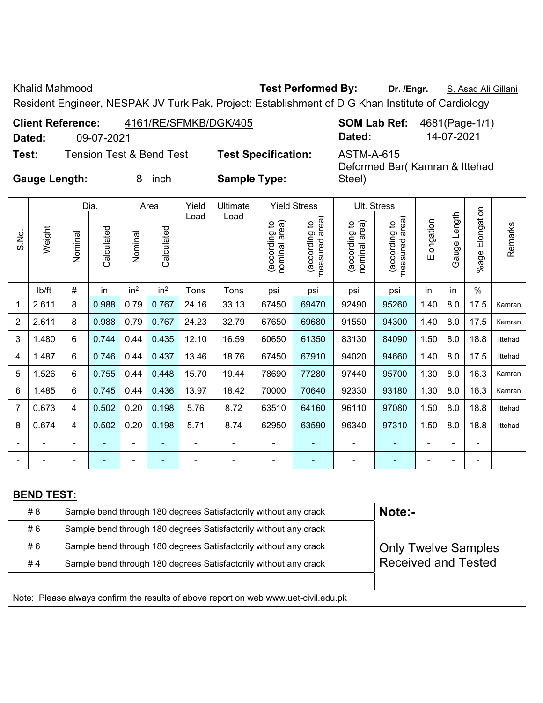Khalid Mahmood **Test Performed By:** Dr. /Engr. **S. Asad Ali Gillani** Ali Gillani

Steel)

Deformed Bar( Kamran & Ittehad

Resident Engineer, NESPAK JV Turk Pak, Project: Establishment of D G Khan Institute of Cardiology

| <b>Client Reference:</b> | 4161/RE/SFMKB/DGK/405    |                            |            | <b>SOM Lab Ref:</b> 4681(Page-1/1) |
|--------------------------|--------------------------|----------------------------|------------|------------------------------------|
| Dated:                   | 09-07-2021               |                            | Dated:     | 14-07-2021                         |
| Test:                    | Tension Test & Bend Test | <b>Test Specification:</b> | ASTM-A-615 |                                    |

**Gauge Length:** 8 inch **Sample Type:** 

|                |                   |                | Dia.       |                 | Area            | Yield          | Ultimate                                                                            |                                | <b>Yield Stress</b>             |                                | Ult. Stress                     |            |                |                      |         |
|----------------|-------------------|----------------|------------|-----------------|-----------------|----------------|-------------------------------------------------------------------------------------|--------------------------------|---------------------------------|--------------------------------|---------------------------------|------------|----------------|----------------------|---------|
| S.No.          | Weight            | Nominal        | Calculated | Nominal         | Calculated      | Load           | Load                                                                                | nominal area)<br>(according to | measured area)<br>(according to | nominal area)<br>(according to | measured area)<br>(according to | Elongation | Gauge Length   | Elongation<br>%age I | Remarks |
|                | lb/ft             | $\#$           | in         | in <sup>2</sup> | in <sup>2</sup> | Tons           | Tons                                                                                | psi                            | psi                             | psi                            | psi                             | in         | in             | $\%$                 |         |
| 1              | 2.611             | 8              | 0.988      | 0.79            | 0.767           | 24.16          | 33.13                                                                               | 67450                          | 69470                           | 92490                          | 95260                           | 1.40       | 8.0            | 17.5                 | Kamran  |
| $\overline{2}$ | 2.611             | 8              | 0.988      | 0.79            | 0.767           | 24.23          | 32.79                                                                               | 67650                          | 69680                           | 91550                          | 94300                           | 1.40       | 8.0            | 17.5                 | Kamran  |
| 3              | 1.480             | 6              | 0.744      | 0.44            | 0.435           | 12.10          | 16.59                                                                               | 60650                          | 61350                           | 83130                          | 84090                           | 1.50       | 8.0            | 18.8                 | Ittehad |
| 4              | 1.487             | 6              | 0.746      | 0.44            | 0.437           | 13.46          | 18.76                                                                               | 67450                          | 67910                           | 94020                          | 94660                           | 1.40       | 8.0            | 17.5                 | Ittehad |
| 5              | 1.526             | $6\phantom{1}$ | 0.755      | 0.44            | 0.448           | 15.70          | 19.44                                                                               | 78690                          | 77280                           | 97440                          | 95700                           | 1.30       | 8.0            | 16.3                 | Kamran  |
| 6              | 1.485             | 6              | 0.745      | 0.44            | 0.436           | 13.97          | 18.42                                                                               | 70000                          | 70640                           | 92330                          | 93180                           | 1.30       | 8.0            | 16.3                 | Kamran  |
| 7              | 0.673             | 4              | 0.502      | 0.20            | 0.198           | 5.76           | 8.72                                                                                | 63510                          | 64160                           | 96110                          | 97080                           | 1.50       | 8.0            | 18.8                 | Ittehad |
| 8              | 0.674             | 4              | 0.502      | 0.20            | 0.198           | 5.71           | 8.74                                                                                | 62950                          | 63590                           | 96340                          | 97310                           | 1.50       | 8.0            | 18.8                 | Ittehad |
|                |                   |                |            | Ē,              |                 | $\blacksquare$ |                                                                                     |                                | ÷                               | -                              |                                 |            |                |                      |         |
|                |                   | $\blacksquare$ |            |                 |                 | $\blacksquare$ | $\overline{\phantom{0}}$                                                            | $\blacksquare$                 | $\overline{\phantom{a}}$        | $\overline{a}$                 |                                 |            | $\blacksquare$ | $\blacksquare$       |         |
|                |                   |                |            |                 |                 |                |                                                                                     |                                |                                 |                                |                                 |            |                |                      |         |
|                | <b>BEND TEST:</b> |                |            |                 |                 |                |                                                                                     |                                |                                 |                                |                                 |            |                |                      |         |
|                | # 8               |                |            |                 |                 |                | Sample bend through 180 degrees Satisfactorily without any crack                    |                                |                                 |                                | Note:-                          |            |                |                      |         |
|                | #6                |                |            |                 |                 |                | Sample bend through 180 degrees Satisfactorily without any crack                    |                                |                                 |                                |                                 |            |                |                      |         |
|                | #6                |                |            |                 |                 |                | Sample bend through 180 degrees Satisfactorily without any crack                    |                                |                                 |                                | <b>Only Twelve Samples</b>      |            |                |                      |         |
|                | #4                |                |            |                 |                 |                | Sample bend through 180 degrees Satisfactorily without any crack                    |                                |                                 |                                | <b>Received and Tested</b>      |            |                |                      |         |
|                |                   |                |            |                 |                 |                |                                                                                     |                                |                                 |                                |                                 |            |                |                      |         |
|                |                   |                |            |                 |                 |                | Note: Please always confirm the results of above report on web www.uet-civil.edu.pk |                                |                                 |                                |                                 |            |                |                      |         |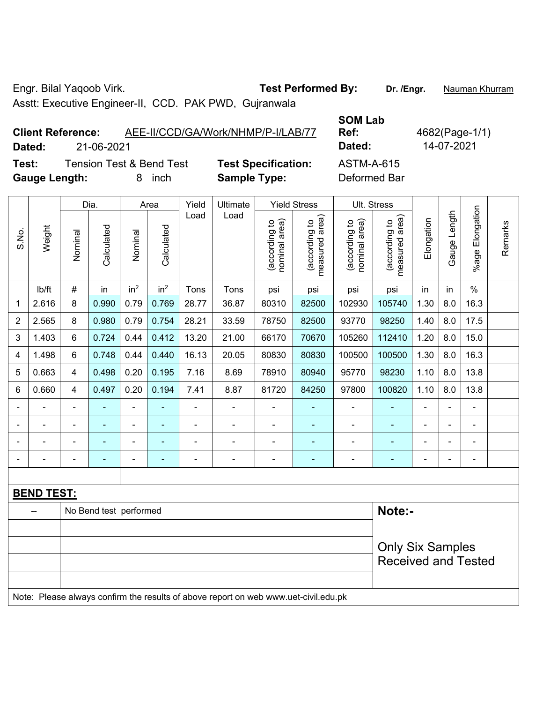Engr. Bilal Yaqoob Virk. **Test Performed By: Dr. /Engr.** Nauman Khurram

Asstt: Executive Engineer-II, CCD. PAK PWD, Gujranwala

**SOM Lab Ref:** 4682(Page-1/1)

**Client Reference:** AEE-II/CCD/GA/Work/NHMP/P-I/LAB/77 **Dated:** 21-06-2021 **Dated:** 14-07-2021

**Test:** Tension Test & Bend Test **Test Specification:** ASTM-A-615 **Gauge Length:** 8 inch **Sample Type:** Deformed Bar

|                |                   |                | Dia.                   |                              | Area            | Yield          | Ultimate                                                                            |                                | <b>Yield Stress</b>             |                                | Ult. Stress                     |                |              |                       |         |
|----------------|-------------------|----------------|------------------------|------------------------------|-----------------|----------------|-------------------------------------------------------------------------------------|--------------------------------|---------------------------------|--------------------------------|---------------------------------|----------------|--------------|-----------------------|---------|
| S.No.          | Weight            | Nominal        | Calculated             | Nominal                      | Calculated      | Load           | Load                                                                                | (according to<br>nominal area) | (according to<br>measured area) | (according to<br>nominal area) | (according to<br>measured area) | Elongation     | Gauge Length | Elongation<br>$%$ age | Remarks |
|                | lb/ft             | $\#$           | in                     | in <sup>2</sup>              | in <sup>2</sup> | Tons           | Tons                                                                                | psi                            | psi                             | psi                            | psi                             | in             | in           | $\%$                  |         |
| 1              | 2.616             | 8              | 0.990                  | 0.79                         | 0.769           | 28.77          | 36.87                                                                               | 80310                          | 82500                           | 102930                         | 105740                          | 1.30           | 8.0          | 16.3                  |         |
| $\overline{2}$ | 2.565             | 8              | 0.980                  | 0.79                         | 0.754           | 28.21          | 33.59                                                                               | 78750                          | 82500                           | 93770                          | 98250                           | 1.40           | 8.0          | 17.5                  |         |
| 3              | 1.403             | 6              | 0.724                  | 0.44                         | 0.412           | 13.20          | 21.00                                                                               | 66170                          | 70670                           | 105260                         | 112410                          | 1.20           | 8.0          | 15.0                  |         |
| 4              | 1.498             | $6\phantom{a}$ | 0.748                  | 0.44                         | 0.440           | 16.13          | 20.05                                                                               | 80830                          | 80830                           | 100500                         | 100500                          | 1.30           | 8.0          | 16.3                  |         |
| 5              | 0.663             | $\overline{4}$ | 0.498                  | 0.20                         | 0.195           | 7.16           | 8.69                                                                                | 78910                          | 80940                           | 95770                          | 98230                           | 1.10           | 8.0          | 13.8                  |         |
| 6              | 0.660             | $\overline{4}$ | 0.497                  | 0.20                         | 0.194           | 7.41           | 8.87                                                                                | 81720                          | 84250                           | 97800                          | 100820                          | 1.10           | 8.0          | 13.8                  |         |
|                |                   | $\blacksquare$ |                        | $\blacksquare$               |                 |                | ÷.                                                                                  |                                |                                 | $\blacksquare$                 | $\blacksquare$                  |                |              | ä,                    |         |
|                |                   |                |                        | ۰                            |                 |                | $\overline{\phantom{0}}$                                                            |                                |                                 |                                |                                 |                |              | $\blacksquare$        |         |
|                |                   | $\blacksquare$ | -                      | $\blacksquare$               |                 | $\blacksquare$ | $\overline{a}$                                                                      | $\blacksquare$                 |                                 |                                | ۰                               | $\blacksquare$ |              | $\blacksquare$        |         |
|                |                   |                |                        | $\qquad \qquad \blacksquare$ | ٠               | $\blacksquare$ | $\overline{\phantom{a}}$                                                            | $\overline{\phantom{a}}$       | ٠                               | $\overline{\phantom{a}}$       | $\blacksquare$                  | $\blacksquare$ |              | $\blacksquare$        |         |
|                |                   |                |                        |                              |                 |                |                                                                                     |                                |                                 |                                |                                 |                |              |                       |         |
|                | <b>BEND TEST:</b> |                |                        |                              |                 |                |                                                                                     |                                |                                 |                                |                                 |                |              |                       |         |
|                |                   |                | No Bend test performed |                              |                 |                |                                                                                     |                                |                                 |                                | Note:-                          |                |              |                       |         |
|                |                   |                |                        |                              |                 |                |                                                                                     |                                |                                 |                                |                                 |                |              |                       |         |
|                |                   |                |                        |                              |                 |                |                                                                                     |                                |                                 |                                | <b>Only Six Samples</b>         |                |              |                       |         |
|                |                   |                |                        |                              |                 |                |                                                                                     |                                |                                 |                                | <b>Received and Tested</b>      |                |              |                       |         |
|                |                   |                |                        |                              |                 |                |                                                                                     |                                |                                 |                                |                                 |                |              |                       |         |
|                |                   |                |                        |                              |                 |                | Note: Please always confirm the results of above report on web www.uet-civil.edu.pk |                                |                                 |                                |                                 |                |              |                       |         |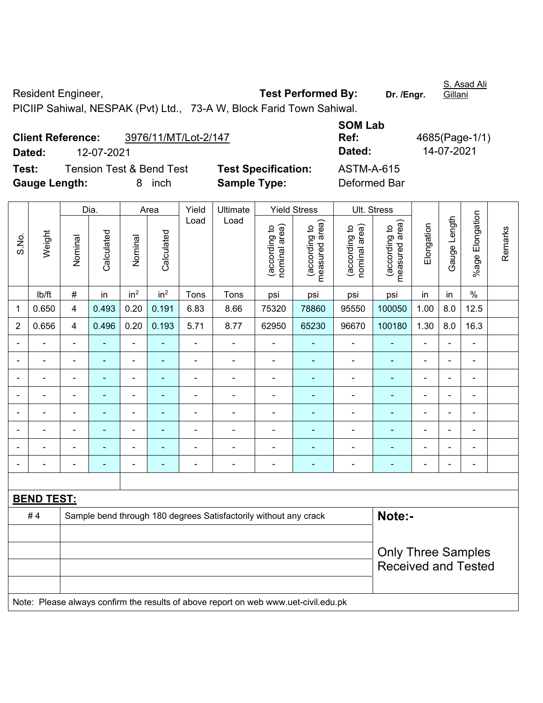Resident Engineer, **Test Performed By:** Dr. /Engr. Gillani PICIIP Sahiwal, NESPAK (Pvt) Ltd., 73-A W, Block Farid Town Sahiwal.

**Client Reference:** 3976/11/MT/Lot-2/147 **SOM Lab Ref:** 4685(Page-1/1) **Dated:** 12-07-2021 **Dated:** 14-07-2021 **Test:** Tension Test & Bend Test **Test Specification:** ASTM-A-615 **Gauge Length:** 8 inch **Sample Type:** Deformed Bar

|                          |                   |                         | Dia.           |                              | Area            | Yield          | Ultimate                                                                            |                                | <b>Yield Stress</b>             |                                | Ult. Stress                     |                |                          |                          |         |
|--------------------------|-------------------|-------------------------|----------------|------------------------------|-----------------|----------------|-------------------------------------------------------------------------------------|--------------------------------|---------------------------------|--------------------------------|---------------------------------|----------------|--------------------------|--------------------------|---------|
| S.No.                    | Weight            | Nominal                 | Calculated     | Nominal                      | Calculated      | Load           | Load                                                                                | (according to<br>nominal area) | measured area)<br>(according to | (according to<br>nominal area) | measured area)<br>(according to | Elongation     | Gauge Length             | %age Elongation          | Remarks |
|                          | Ib/ft             | $\#$                    | in             | in <sup>2</sup>              | in <sup>2</sup> | Tons           | Tons                                                                                | psi                            | psi                             | psi                            | psi                             | in             | in                       | $\%$                     |         |
| 1                        | 0.650             | $\overline{\mathbf{4}}$ | 0.493          | 0.20                         | 0.191           | 6.83           | 8.66                                                                                | 75320                          | 78860                           | 95550                          | 100050                          | 1.00           | 8.0                      | 12.5                     |         |
| $\overline{2}$           | 0.656             | 4                       | 0.496          | 0.20                         | 0.193           | 5.71           | 8.77                                                                                | 62950                          | 65230                           | 96670                          | 100180                          | 1.30           | 8.0                      | 16.3                     |         |
| $\blacksquare$           | ä,                | $\blacksquare$          | ÷              | ÷                            | ۰               | ä,             | $\blacksquare$                                                                      | ä,                             | ä,                              | ۰                              | $\blacksquare$                  | ä,             | $\blacksquare$           | $\blacksquare$           |         |
| $\overline{\phantom{0}}$ | L.                | $\blacksquare$          | $\blacksquare$ | $\overline{\phantom{0}}$     | ٠               | $\blacksquare$ | $\overline{a}$                                                                      | ä,                             | $\blacksquare$                  | $\overline{\phantom{a}}$       | $\blacksquare$                  | $\blacksquare$ | ÷,                       | $\overline{\phantom{a}}$ |         |
| $\blacksquare$           | ä,                | $\blacksquare$          | ÷,             | ÷,                           | ٠               | $\blacksquare$ | $\blacksquare$                                                                      | $\blacksquare$                 | ÷,                              | $\qquad \qquad \blacksquare$   | ä,                              | ä,             | ÷,                       | $\blacksquare$           |         |
|                          | $\blacksquare$    |                         | ÷,             | $\overline{\phantom{0}}$     | ۰               | $\blacksquare$ | $\overline{a}$                                                                      | L,                             | ٠                               | Ĭ.                             | $\blacksquare$                  |                |                          | $\blacksquare$           |         |
|                          |                   |                         | ÷              | $\qquad \qquad \blacksquare$ |                 | $\blacksquare$ | $\blacksquare$                                                                      | L,                             | ä,                              | $\qquad \qquad \blacksquare$   | $\blacksquare$                  |                |                          | $\blacksquare$           |         |
|                          |                   |                         |                | ۳                            |                 |                |                                                                                     |                                |                                 | $\blacksquare$                 |                                 |                |                          | $\overline{\phantom{a}}$ |         |
|                          |                   |                         |                | -                            |                 |                |                                                                                     |                                |                                 | ۰                              |                                 |                |                          |                          |         |
| $\blacksquare$           | $\blacksquare$    | $\blacksquare$          | ۰              | -                            | ۰               | $\blacksquare$ | $\overline{\phantom{0}}$                                                            | ä,                             | ٠                               | ۰                              | $\blacksquare$                  | ۰              | $\overline{\phantom{0}}$ | $\blacksquare$           |         |
|                          |                   |                         |                |                              |                 |                |                                                                                     |                                |                                 |                                |                                 |                |                          |                          |         |
|                          | <b>BEND TEST:</b> |                         |                |                              |                 |                |                                                                                     |                                |                                 |                                |                                 |                |                          |                          |         |
|                          | #4                |                         |                |                              |                 |                | Sample bend through 180 degrees Satisfactorily without any crack                    |                                |                                 |                                | Note:-                          |                |                          |                          |         |
|                          |                   |                         |                |                              |                 |                |                                                                                     |                                |                                 |                                |                                 |                |                          |                          |         |
|                          |                   |                         |                |                              |                 |                |                                                                                     |                                |                                 |                                | <b>Only Three Samples</b>       |                |                          |                          |         |
|                          |                   |                         |                |                              |                 |                |                                                                                     |                                |                                 |                                | <b>Received and Tested</b>      |                |                          |                          |         |
|                          |                   |                         |                |                              |                 |                | Note: Please always confirm the results of above report on web www.uet-civil.edu.pk |                                |                                 |                                |                                 |                |                          |                          |         |

S. Asad Ali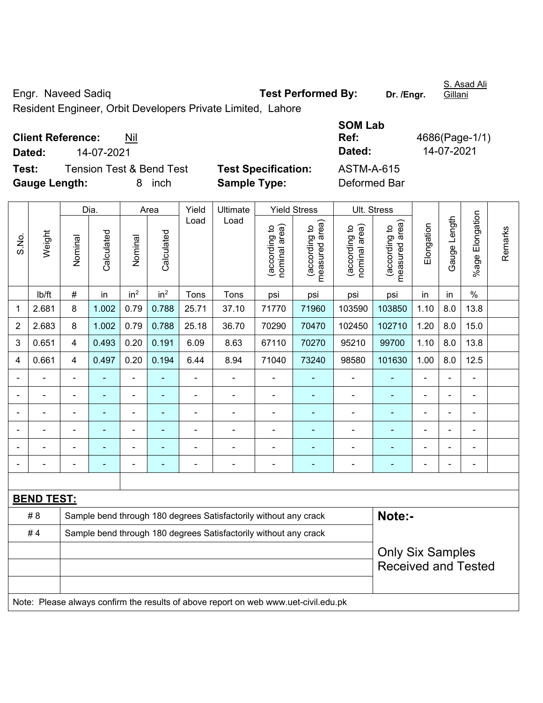Engr. Naveed Sadiq **Test Performed By:** Dr. /Engr.

S. Asad Ali Gillani

Resident Engineer, Orbit Developers Private Limited, Lahore

**Client Reference:** Nil

**Test:** Tension Test & Bend Test **Test Specification:** ASTM-A-615 **Gauge Length:** 8 inch **Sample Type:** Deformed Bar

**SOM Lab Ref:** 4686(Page-1/1) **Dated:** 14-07-2021 **Dated:** 14-07-2021

|                |                   |                | Dia.           |                 | Area            | Yield          | Ultimate                                                                            |                               | <b>Yield Stress</b>             | Ult. Stress                    |                                                       |                |                |                          |         |
|----------------|-------------------|----------------|----------------|-----------------|-----------------|----------------|-------------------------------------------------------------------------------------|-------------------------------|---------------------------------|--------------------------------|-------------------------------------------------------|----------------|----------------|--------------------------|---------|
| S.No.          | Weight            | Nominal        | Calculated     | Nominal         | Calculated      | Load           | Load                                                                                | nominal area)<br>according to | measured area)<br>(according to | nominal area)<br>(according to | (according to<br>measured area)                       | Elongation     | Gauge Length   | %age Elongation          | Remarks |
|                | lb/ft             | $\#$           | in             | in <sup>2</sup> | in <sup>2</sup> | Tons           | Tons                                                                                | psi                           | psi                             | psi                            | psi                                                   | in             | in             | $\%$                     |         |
| 1              | 2.681             | 8              | 1.002          | 0.79            | 0.788           | 25.71          | 37.10                                                                               | 71770                         | 71960                           | 103590                         | 103850                                                | 1.10           | 8.0            | 13.8                     |         |
| $\overline{2}$ | 2.683             | 8              | 1.002          | 0.79            | 0.788           | 25.18          | 36.70                                                                               | 70290                         | 70470                           | 102450                         | 102710                                                | 1.20           | 8.0            | 15.0                     |         |
| 3              | 0.651             | $\overline{4}$ | 0.493          | 0.20            | 0.191           | 6.09           | 8.63                                                                                | 67110                         | 70270                           | 95210                          | 99700                                                 | 1.10           | 8.0            | 13.8                     |         |
| 4              | 0.661             | 4              | 0.497          | 0.20            | 0.194           | 6.44           | 8.94                                                                                | 71040                         | 73240                           | 98580                          | 101630                                                | 1.00           | 8.0            | 12.5                     |         |
|                |                   |                |                | ÷,              | ÷               | ä,             | ÷,                                                                                  |                               |                                 | ä,                             | ۰                                                     | ä,             | $\blacksquare$ | $\blacksquare$           |         |
|                | $\blacksquare$    |                | $\blacksquare$ | ۰               | ۰               | $\overline{a}$ | $\overline{\phantom{0}}$                                                            | $\blacksquare$                | $\overline{\phantom{a}}$        | $\overline{a}$                 | ۰                                                     | $\blacksquare$ | $\overline{a}$ | $\overline{\phantom{a}}$ |         |
|                | $\blacksquare$    | $\blacksquare$ | $\blacksquare$ | $\frac{1}{2}$   | $\blacksquare$  | ä,             | $\blacksquare$                                                                      | $\blacksquare$                | $\blacksquare$                  | $\blacksquare$                 | ٠                                                     | $\blacksquare$ |                | $\blacksquare$           |         |
|                |                   |                |                | ÷               |                 | ä,             |                                                                                     |                               |                                 | ä,                             | ۰                                                     |                |                | ÷                        |         |
|                |                   |                |                | ÷               |                 |                |                                                                                     |                               |                                 | -                              | ۳                                                     |                |                |                          |         |
|                |                   |                |                | ÷               | ۰               | $\blacksquare$ | $\overline{\phantom{0}}$                                                            |                               | $\blacksquare$                  | -                              | ۰                                                     | $\blacksquare$ |                | $\blacksquare$           |         |
|                |                   |                |                |                 |                 |                |                                                                                     |                               |                                 |                                |                                                       |                |                |                          |         |
|                | <b>BEND TEST:</b> |                |                |                 |                 |                |                                                                                     |                               |                                 |                                |                                                       |                |                |                          |         |
|                | # 8               |                |                |                 |                 |                | Sample bend through 180 degrees Satisfactorily without any crack                    |                               |                                 |                                | Note:-                                                |                |                |                          |         |
|                | #4                |                |                |                 |                 |                | Sample bend through 180 degrees Satisfactorily without any crack                    |                               |                                 |                                |                                                       |                |                |                          |         |
|                |                   |                |                |                 |                 |                |                                                                                     |                               |                                 |                                | <b>Only Six Samples</b><br><b>Received and Tested</b> |                |                |                          |         |
|                |                   |                |                |                 |                 |                | Note: Please always confirm the results of above report on web www.uet-civil.edu.pk |                               |                                 |                                |                                                       |                |                |                          |         |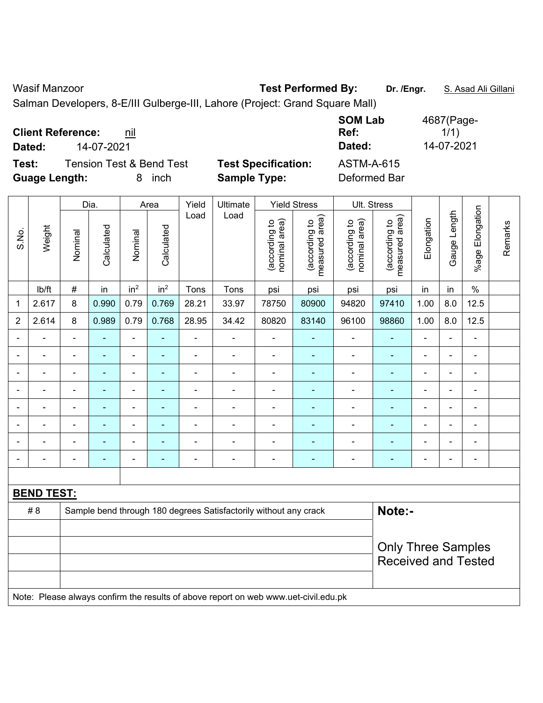Wasif Manzoor **Test Performed By:** Dr. /Engr. **S. Asad Ali Gillani** Ali Cillani

Salman Developers, 8-E/III Gulberge-III, Lahore (Project: Grand Square Mall)

|                                   | <b>SOM Lab</b>                           | 4687(Page- |
|-----------------------------------|------------------------------------------|------------|
| <b>Client Reference:</b><br>nil   | Ref:                                     | 1/1)       |
| 14-07-2021<br>Dated:              | Dated:                                   | 14-07-2021 |
| Test:<br>Tension Test & Bend Test | <b>Test Specification:</b><br>ASTM-A-615 |            |
| <b>Guage Length:</b><br>inch<br>8 | <b>Sample Type:</b><br>Deformed Bar      |            |

|                |                   | Dia.                                           |                |                 | Area                           |                                 | Ultimate                                                                            |                                 | <b>Yield Stress</b>      |                              | Ult. Stress                |                |                |                           |  |  |
|----------------|-------------------|------------------------------------------------|----------------|-----------------|--------------------------------|---------------------------------|-------------------------------------------------------------------------------------|---------------------------------|--------------------------|------------------------------|----------------------------|----------------|----------------|---------------------------|--|--|
| S.No.          | Weight            | Calculated<br>Calculated<br>Nominal<br>Nominal | Load           | Load            | nominal area)<br>(according to | (according to<br>measured area) | (according to<br>nominal area)                                                      | measured area)<br>(according to | Elongation               | Gauge Length                 | %age Elongation            | Remarks        |                |                           |  |  |
|                | lb/ft             | $\#$                                           | in             | in <sup>2</sup> | in <sup>2</sup>                | Tons                            | Tons                                                                                | psi                             | psi                      | psi                          | psi                        | in             | in             | $\%$                      |  |  |
| 1              | 2.617             | 8                                              | 0.990          | 0.79            | 0.769                          | 28.21                           | 33.97                                                                               | 78750                           | 80900                    | 94820                        | 97410                      | 1.00           | 8.0            | 12.5                      |  |  |
| $\overline{2}$ | 2.614             | 8                                              | 0.989          | 0.79            | 0.768                          | 28.95                           | 34.42                                                                               | 80820                           | 83140                    | 96100                        | 98860                      | 1.00           | 8.0            | 12.5                      |  |  |
| $\blacksquare$ | $\blacksquare$    | $\blacksquare$                                 | $\blacksquare$ | ÷,              | $\blacksquare$                 | $\blacksquare$                  | $\blacksquare$                                                                      | $\blacksquare$                  | $\blacksquare$           | $\qquad \qquad \blacksquare$ | $\blacksquare$             | $\blacksquare$ | $\blacksquare$ | ÷                         |  |  |
| $\blacksquare$ | ٠                 | $\overline{a}$                                 | $\blacksquare$ | ÷               | $\overline{a}$                 | Ē,                              | ÷,                                                                                  | $\qquad \qquad \blacksquare$    | ۰                        | $\blacksquare$               | -                          | $\blacksquare$ | ä,             | $\overline{\phantom{a}}$  |  |  |
| $\blacksquare$ | $\blacksquare$    | $\blacksquare$                                 | $\blacksquare$ | $\blacksquare$  | $\blacksquare$                 | $\blacksquare$                  | ÷,                                                                                  | $\blacksquare$                  | ÷                        | $\qquad \qquad \blacksquare$ | $\blacksquare$             | $\blacksquare$ | ä,             | $\blacksquare$            |  |  |
|                | $\blacksquare$    | $\blacksquare$                                 | $\blacksquare$ | $\blacksquare$  | ٠                              | $\blacksquare$                  | ÷                                                                                   | $\blacksquare$                  | $\overline{\phantom{0}}$ | $\blacksquare$               | ä,                         | $\blacksquare$ | $\blacksquare$ | $\blacksquare$            |  |  |
|                |                   |                                                | $\blacksquare$ | ä,              |                                |                                 | ÷                                                                                   | $\blacksquare$                  | ۰                        | $\blacksquare$               | ÷,                         | $\blacksquare$ | $\blacksquare$ | $\blacksquare$            |  |  |
|                |                   |                                                | ٠              | $\blacksquare$  |                                |                                 | $\blacksquare$                                                                      |                                 | ÷                        |                              | ÷,                         |                | $\blacksquare$ | $\blacksquare$            |  |  |
|                |                   |                                                | $\blacksquare$ | $\blacksquare$  |                                |                                 | $\blacksquare$                                                                      | $\blacksquare$                  | ۰                        |                              | ۰                          |                | $\blacksquare$ | $\blacksquare$            |  |  |
|                |                   |                                                |                | $\blacksquare$  | ٠                              | Ē,                              | $\overline{\phantom{a}}$                                                            | $\blacksquare$                  | ٠                        | $\blacksquare$               | -                          | $\blacksquare$ | $\blacksquare$ | $\blacksquare$            |  |  |
|                |                   |                                                |                |                 |                                |                                 |                                                                                     |                                 |                          |                              |                            |                |                |                           |  |  |
|                | <b>BEND TEST:</b> |                                                |                |                 |                                |                                 |                                                                                     |                                 |                          |                              |                            |                |                |                           |  |  |
|                | #8                |                                                |                |                 |                                |                                 | Sample bend through 180 degrees Satisfactorily without any crack                    |                                 |                          |                              | Note:-                     |                |                |                           |  |  |
|                |                   |                                                |                |                 |                                |                                 |                                                                                     |                                 |                          |                              |                            |                |                |                           |  |  |
|                |                   |                                                |                |                 |                                |                                 |                                                                                     |                                 |                          |                              |                            |                |                | <b>Only Three Samples</b> |  |  |
|                |                   |                                                |                |                 |                                |                                 |                                                                                     |                                 |                          |                              | <b>Received and Tested</b> |                |                |                           |  |  |
|                |                   |                                                |                |                 |                                |                                 |                                                                                     |                                 |                          |                              |                            |                |                |                           |  |  |
|                |                   |                                                |                |                 |                                |                                 | Note: Please always confirm the results of above report on web www.uet-civil.edu.pk |                                 |                          |                              |                            |                |                |                           |  |  |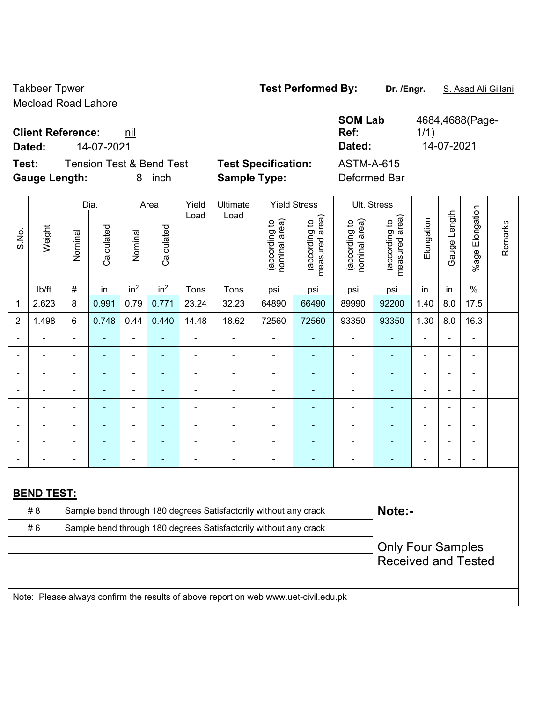Takbeer Tpwer **Test Performed By:** Dr. /Engr. **S. Asad Ali Gillani** Mecload Road Lahore

1/1)

 $\top$ 

**Client Reference: nil** 

**Dated:** 14-07-2021 **Dated:** 14-07-2021

 $\overline{\phantom{a}}$ 

**Test:** Tension Test & Bend Test **Test Specification: Gauge Length:** 8 inch **Sample Type:** Deformed Bar

 $\overline{\phantom{a}}$ 

 $\overline{\phantom{a}}$ 

| <b>ASTM-A-615</b> |  |
|-------------------|--|
| Deformed Bar      |  |

**SOM Lab Ref:** 

|                |                   |                | Dia.       |                 | Area            | Yield                    | Ultimate                                                                            |                                | <b>Yield Stress</b>             |                                | Ult. Stress                                 |                |                |                       |         |  |
|----------------|-------------------|----------------|------------|-----------------|-----------------|--------------------------|-------------------------------------------------------------------------------------|--------------------------------|---------------------------------|--------------------------------|---------------------------------------------|----------------|----------------|-----------------------|---------|--|
| S.No.          | Weight            | Nominal        | Calculated | Nominal         | Calculated      | Load                     | Load                                                                                | nominal area)<br>(according to | measured area)<br>(according to | (according to<br>nominal area) | (according to<br>measured area)<br>measured | Elongation     | Gauge Length   | Elongation<br>$%$ age | Remarks |  |
|                | lb/ft             | $\#$           | in         | in <sup>2</sup> | in <sup>2</sup> | Tons                     | Tons                                                                                | psi                            | psi                             | psi                            | psi                                         | in             | in             | $\%$                  |         |  |
| 1              | 2.623             | 8              | 0.991      | 0.79            | 0.771           | 23.24                    | 32.23                                                                               | 64890                          | 66490                           | 89990                          | 92200                                       | 1.40           | 8.0            | 17.5                  |         |  |
| $\overline{2}$ | 1.498             | $6\phantom{1}$ | 0.748      | 0.44            | 0.440           | 14.48                    | 18.62                                                                               | 72560                          | 72560                           | 93350                          | 93350                                       | 1.30           | 8.0            | 16.3                  |         |  |
|                |                   | $\blacksquare$ | ÷,         | ÷,              |                 | $\blacksquare$           | $\blacksquare$                                                                      | ä,                             |                                 | $\blacksquare$                 | $\blacksquare$                              | $\blacksquare$ | $\blacksquare$ | ÷,                    |         |  |
|                | $\blacksquare$    | $\blacksquare$ | ÷,         | ÷,              | ٠               | $\blacksquare$           | $\blacksquare$                                                                      | $\overline{\phantom{a}}$       | $\blacksquare$                  | ۰                              | $\blacksquare$                              | $\blacksquare$ | $\blacksquare$ | ÷,                    |         |  |
|                |                   |                |            | ÷               |                 |                          |                                                                                     |                                |                                 |                                |                                             |                |                | ÷                     |         |  |
|                |                   |                |            | ÷               |                 |                          |                                                                                     |                                |                                 |                                |                                             |                |                | ÷                     |         |  |
|                |                   |                | ۰          | ÷               |                 |                          | $\blacksquare$                                                                      | Ē,                             |                                 |                                | -                                           | Ē,             | $\blacksquare$ | ۰                     |         |  |
|                |                   |                | ۰          | ÷               |                 |                          | $\blacksquare$                                                                      | $\blacksquare$                 |                                 | $\blacksquare$                 | ä,                                          | Ē,             | $\blacksquare$ | ۰                     |         |  |
|                |                   |                | ۰          | ÷               |                 | $\overline{\phantom{0}}$ | $\blacksquare$                                                                      | $\overline{\phantom{a}}$       | ۰                               | $\blacksquare$                 | $\blacksquare$                              | ٠              | $\blacksquare$ | ۰                     |         |  |
|                |                   |                |            |                 |                 |                          |                                                                                     |                                |                                 |                                | ۳                                           |                |                | ۰                     |         |  |
|                |                   |                |            |                 |                 |                          |                                                                                     |                                |                                 |                                |                                             |                |                |                       |         |  |
|                | <b>BEND TEST:</b> |                |            |                 |                 |                          |                                                                                     |                                |                                 |                                |                                             |                |                |                       |         |  |
|                | # 8               |                |            |                 |                 |                          | Sample bend through 180 degrees Satisfactorily without any crack                    |                                |                                 |                                | Note:-                                      |                |                |                       |         |  |
|                | #6                |                |            |                 |                 |                          | Sample bend through 180 degrees Satisfactorily without any crack                    |                                |                                 |                                |                                             |                |                |                       |         |  |
|                |                   |                |            |                 |                 |                          |                                                                                     |                                |                                 |                                | <b>Only Four Samples</b>                    |                |                |                       |         |  |
|                |                   |                |            |                 |                 |                          |                                                                                     |                                |                                 |                                | <b>Received and Tested</b>                  |                |                |                       |         |  |
|                |                   |                |            |                 |                 |                          |                                                                                     |                                |                                 |                                |                                             |                |                |                       |         |  |
|                |                   |                |            |                 |                 |                          | Note: Please always confirm the results of above report on web www.uet-civil.edu.pk |                                |                                 |                                |                                             |                |                |                       |         |  |

4684,4688(Page-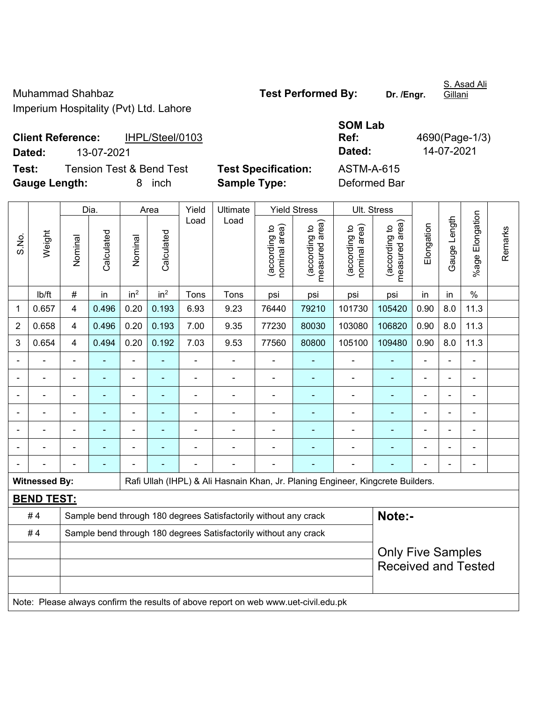Muhammad Shahbaz **Test Performed By:** Dr. /Engr. Imperium Hospitality (Pvt) Ltd. Lahore

S. Asad Ali

**Client Reference:** IHPL/Steel/0103 **Dated:** 13-07-2021 **Dated:** 14-07-2021 **Test:** Tension Test & Bend Test **Test Specification:** 

| <b>SOM Lab</b>    |                |
|-------------------|----------------|
| Ref:              | 4690(Page-1/3) |
| Dated:            | 14-07-2021     |
| <b>ASTM-A-615</b> |                |

**Gauge Length:** 8 inch **Sample Type:** Deformed Bar

|       |                      |                         | Dia.           |                 | Area            | Yield | Ultimate                                                                            |                                | <b>Yield Stress</b>             | Ult. Stress                    |                                 |                |              |                           |         |  |  |  |
|-------|----------------------|-------------------------|----------------|-----------------|-----------------|-------|-------------------------------------------------------------------------------------|--------------------------------|---------------------------------|--------------------------------|---------------------------------|----------------|--------------|---------------------------|---------|--|--|--|
| S.No. | Weight               | Nominal                 | Calculated     | Nominal         | Calculated      | Load  | Load                                                                                | nominal area)<br>(according to | (according to<br>measured area) | (according to<br>nominal area) | (according to<br>measured area) | Elongation     | Gauge Length | Elongation<br>$%$ age $ $ | Remarks |  |  |  |
|       | lb/ft                | $\#$                    | in             | in <sup>2</sup> | in <sup>2</sup> | Tons  | Tons                                                                                | psi                            | psi                             | psi                            | psi                             | in             | in           | $\frac{0}{0}$             |         |  |  |  |
| 1     | 0.657                | $\overline{\mathbf{4}}$ | 0.496          | 0.20            | 0.193           | 6.93  | 9.23                                                                                | 76440                          | 79210                           | 101730                         | 105420                          | 0.90           | 8.0          | 11.3                      |         |  |  |  |
| 2     | 0.658                | $\overline{4}$          | 0.496          | 0.20            | 0.193           | 7.00  | 9.35                                                                                | 77230                          | 80030                           | 103080                         | 106820                          | 0.90           | 8.0          | 11.3                      |         |  |  |  |
| 3     | 0.654                | 4                       | 0.494          | 0.20            | 0.192           | 7.03  | 9.53                                                                                | 77560                          | 80800                           | 105100                         | 109480                          | 0.90           | 8.0          | 11.3                      |         |  |  |  |
|       |                      |                         | ۰              | $\blacksquare$  |                 | -     | $\overline{a}$                                                                      | $\overline{\phantom{a}}$       |                                 | $\overline{\phantom{0}}$       |                                 |                |              | $\blacksquare$            |         |  |  |  |
|       |                      |                         | ÷,             | $\blacksquare$  | $\blacksquare$  |       | $\overline{a}$                                                                      | $\blacksquare$                 | $\blacksquare$                  | $\blacksquare$                 | ٠                               | $\blacksquare$ |              | $\blacksquare$            |         |  |  |  |
|       |                      | ä,                      | ÷,             | $\blacksquare$  | $\blacksquare$  | ä,    | ÷,                                                                                  | $\blacksquare$                 | ä,                              | $\blacksquare$                 | ÷,                              |                |              | ÷,                        |         |  |  |  |
|       |                      |                         | $\blacksquare$ | $\blacksquare$  |                 |       |                                                                                     |                                | ÷,                              | $\blacksquare$                 |                                 |                |              | $\blacksquare$            |         |  |  |  |
|       |                      |                         |                |                 |                 |       |                                                                                     |                                |                                 |                                |                                 |                |              |                           |         |  |  |  |
|       |                      |                         |                | $\blacksquare$  |                 |       | ۰                                                                                   |                                |                                 |                                |                                 |                |              | $\blacksquare$            |         |  |  |  |
|       |                      |                         |                |                 |                 |       |                                                                                     |                                |                                 |                                |                                 |                |              | $\blacksquare$            |         |  |  |  |
|       | <b>Witnessed By:</b> |                         |                |                 |                 |       | Rafi Ullah (IHPL) & Ali Hasnain Khan, Jr. Planing Engineer, Kingcrete Builders.     |                                |                                 |                                |                                 |                |              |                           |         |  |  |  |
|       | <b>BEND TEST:</b>    |                         |                |                 |                 |       |                                                                                     |                                |                                 |                                |                                 |                |              |                           |         |  |  |  |
|       | #4                   |                         |                |                 |                 |       | Sample bend through 180 degrees Satisfactorily without any crack                    |                                |                                 |                                | Note:-                          |                |              |                           |         |  |  |  |
|       | #4                   |                         |                |                 |                 |       | Sample bend through 180 degrees Satisfactorily without any crack                    |                                |                                 |                                |                                 |                |              |                           |         |  |  |  |
|       |                      |                         |                |                 |                 |       |                                                                                     |                                |                                 |                                | <b>Only Five Samples</b>        |                |              |                           |         |  |  |  |
|       |                      |                         |                |                 |                 |       |                                                                                     |                                |                                 |                                | <b>Received and Tested</b>      |                |              |                           |         |  |  |  |
|       |                      |                         |                |                 |                 |       |                                                                                     |                                |                                 |                                |                                 |                |              |                           |         |  |  |  |
|       |                      |                         |                |                 |                 |       | Note: Please always confirm the results of above report on web www.uet-civil.edu.pk |                                |                                 |                                |                                 |                |              |                           |         |  |  |  |

Gillani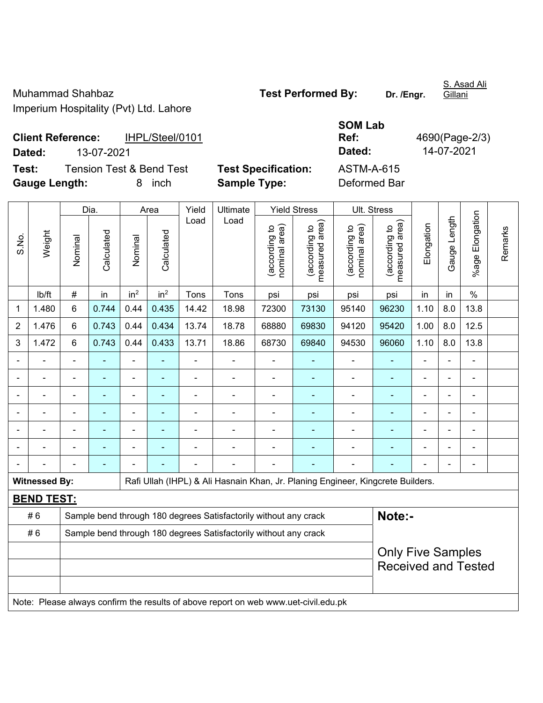Muhammad Shahbaz **Test Performed By:** Dr. /Engr. Imperium Hospitality (Pvt) Ltd. Lahore

S. Asad Ali **Gillani** 

**Client Reference:** IHPL/Steel/0101 **Dated:** 13-07-2021 **Dated:** 14-07-2021 **Test:** Tension Test & Bend Test **Test Specification:** ASTM-A-615

**Gauge Length:** 8 inch **Sample Type:** Deformed Bar

**SOM Lab Ref:** 4690(Page-2/3)

Dia. | Area | Yield | Ultimate | Yield Stress | Ult. Stress %age Elongation %age Elongation Gauge Length Load Load Gauge Length (according to<br>measured area) measured area) measured area) (according to<br>nominal area) (according to<br>nominal area) nominal area) nominal area) (according to<br>measured area) Elongation Elongation (according to (according to (according to (according to Remarks Remarks Weight **Calculated Calculated** Calculated Calculated S.No. Nominal Nominal Vominal Nominal | lb/ft | # | in | in<sup>2</sup> | in<sup>2</sup> | Tons | Tons | psi | psi | psi | psi | in | in | % 1 1.480 6 0.744 0.44 0.435 14.42 18.98 72300 73130 95140 96230 1.10 8.0 13.8 2 | 1.476 | 6 | 0.743 | 0.44 | 0.434 | 13.74 | 18.78 | 68880 | 69830 | 94120 | 95420 | 1.00 | 8.0 | 12.5 3 | 1.472 | 6 | 0.743 | 0.44 | 0.433 | 13.71 | 18.86 | 68730 | 69840 | 94530 | 96060 | 1.10 | 8.0 | 13.8 - - - - - - - - - - - - - - - - - - - - - - - - - - - - - - - - - - - - - - - - - - - - - - - - - - - - - - - - - - - - - - - - - - - - - - - - - - - - - - - - - - - - - - - - - - - - - - - - - - - - - - - - - Witnessed By: **Rafi Ullah (IHPL) & Ali Hasnain Khan, Jr. Planing Engineer, Kingcrete Builders. BEND TEST:**  # 6 Sample bend through 180 degrees Satisfactorily without any crack **Note:- Note:** #6 Sample bend through 180 degrees Satisfactorily without any crack Only Five Samples Received and Tested Note: Please always confirm the results of above report on web www.uet-civil.edu.pk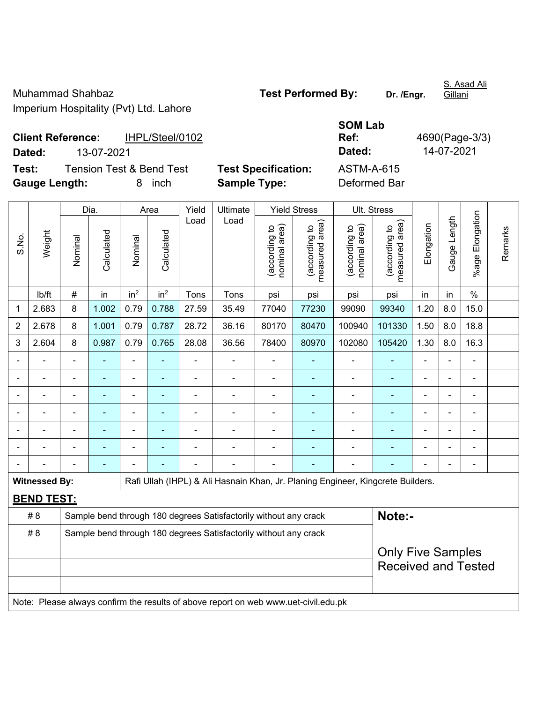Muhammad Shahbaz **Test Performed By:** Dr. /Engr. Imperium Hospitality (Pvt) Ltd. Lahore

S. Asad Ali Gillani

**Client Reference:** IHPL/Steel/0102 **Dated:** 13-07-2021 **Dated:** 14-07-2021 **Test:** Tension Test & Bend Test **Test Specification:** ASTM-A-615

**Gauge Length:** 8 inch **Sample Type:** Deformed Bar

|       |                      | Dia.                     |                | Area            |                 | Yield          | Ultimate                                                                            |                               | <b>Yield Stress</b>             | Ult. Stress                   |                                 |                |                          |                            |         |
|-------|----------------------|--------------------------|----------------|-----------------|-----------------|----------------|-------------------------------------------------------------------------------------|-------------------------------|---------------------------------|-------------------------------|---------------------------------|----------------|--------------------------|----------------------------|---------|
| S.No. | Weight               | Nominal                  | Calculated     | Nominal         | Calculated      | Load           | Load                                                                                | nominal area)<br>according to | (according to<br>measured area) | nominal area)<br>according to | (according to<br>measured area) | Elongation     | Gauge Length             | Elongation<br>%agel        | Remarks |
|       | lb/ft                | #                        | in             | in <sup>2</sup> | in <sup>2</sup> | Tons           | Tons                                                                                | psi                           | psi                             | psi                           | psi                             | in             | in                       | $\frac{0}{0}$              |         |
| 1     | 2.683                | 8                        | 1.002          | 0.79            | 0.788           | 27.59          | 35.49                                                                               | 77040                         | 77230                           | 99090                         | 99340                           | 1.20           | 8.0                      | 15.0                       |         |
| 2     | 2.678                | 8                        | 1.001          | 0.79            | 0.787           | 28.72          | 36.16                                                                               | 80170                         | 80470                           | 100940                        | 101330                          | 1.50           | 8.0                      | 18.8                       |         |
| 3     | 2.604                | 8                        | 0.987          | 0.79            | 0.765           | 28.08          | 36.56                                                                               | 78400                         | 80970                           | 102080                        | 105420                          | 1.30           | 8.0                      | 16.3                       |         |
|       |                      |                          | $\blacksquare$ | $\overline{a}$  |                 |                |                                                                                     |                               |                                 |                               |                                 |                |                          | ÷                          |         |
|       |                      |                          |                | ÷               |                 | ä,             | $\blacksquare$                                                                      | $\blacksquare$                |                                 |                               |                                 |                |                          | ÷                          |         |
|       |                      | $\blacksquare$           | $\blacksquare$ | $\overline{a}$  |                 | $\blacksquare$ | $\blacksquare$                                                                      |                               | ۰                               | $\blacksquare$                | ٠                               | $\blacksquare$ | $\overline{\phantom{0}}$ | ۰                          |         |
|       |                      | $\blacksquare$           | ä,             | ä,              | $\blacksquare$  | L,             | $\blacksquare$                                                                      | $\blacksquare$                |                                 | L,                            | ä,                              | ä,             | $\blacksquare$           | $\blacksquare$             |         |
|       |                      | ÷                        | ÷,             | ÷               |                 | ä,             | $\overline{a}$                                                                      | ä,                            | ۰                               | ÷                             | $\blacksquare$                  | $\blacksquare$ | $\blacksquare$           | $\blacksquare$             |         |
|       |                      | $\overline{\phantom{a}}$ | ä,             | ÷               |                 | ä,             | $\blacksquare$                                                                      | ä,                            |                                 | $\overline{\phantom{a}}$      | $\blacksquare$                  | $\blacksquare$ |                          | $\blacksquare$             |         |
|       |                      |                          | ÷              |                 |                 |                |                                                                                     | ä,                            |                                 |                               |                                 |                |                          | ۰                          |         |
|       | <b>Witnessed By:</b> |                          |                |                 |                 |                | Rafi Ullah (IHPL) & Ali Hasnain Khan, Jr. Planing Engineer, Kingcrete Builders.     |                               |                                 |                               |                                 |                |                          |                            |         |
|       | <b>BEND TEST:</b>    |                          |                |                 |                 |                |                                                                                     |                               |                                 |                               |                                 |                |                          |                            |         |
|       | # 8                  |                          |                |                 |                 |                | Sample bend through 180 degrees Satisfactorily without any crack                    |                               |                                 |                               | Note:-                          |                |                          |                            |         |
|       | #8                   |                          |                |                 |                 |                | Sample bend through 180 degrees Satisfactorily without any crack                    |                               |                                 |                               |                                 |                |                          |                            |         |
|       |                      |                          |                |                 |                 |                |                                                                                     |                               |                                 |                               | <b>Only Five Samples</b>        |                |                          |                            |         |
|       |                      |                          |                |                 |                 |                |                                                                                     |                               |                                 |                               |                                 |                |                          | <b>Received and Tested</b> |         |
|       |                      |                          |                |                 |                 |                |                                                                                     |                               |                                 |                               |                                 |                |                          |                            |         |
|       |                      |                          |                |                 |                 |                | Note: Please always confirm the results of above report on web www.uet-civil.edu.pk |                               |                                 |                               |                                 |                |                          |                            |         |

**SOM Lab** 

**Ref:** 4690(Page-3/3)